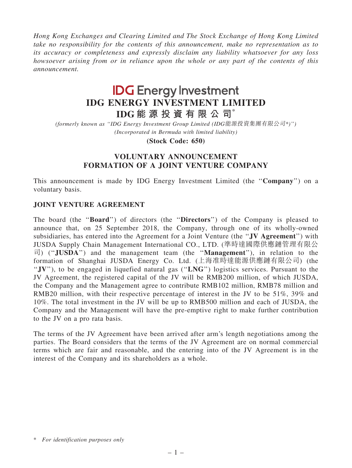Hong Kong Exchanges and Clearing Limited and The Stock Exchange of Hong Kong Limited take no responsibility for the contents of this announcement, make no representation as to its accuracy or completeness and expressly disclaim any liability whatsoever for any loss howsoever arising from or in reliance upon the whole or any part of the contents of this announcement.

# **IDG** Energy Investment IDG ENERGY INVESTMENT LIMITED

IDG 能 源 投 資 有 限 公 司\*

(formerly known as ''IDG Energy Investment Group Limited (IDG能源投資集團有限公司\*)'') (Incorporated in Bermuda with limited liability)

(Stock Code: 650)

## VOLUNTARY ANNOUNCEMENT FORMATION OF A JOINT VENTURE COMPANY

This announcement is made by IDG Energy Investment Limited (the "Company") on a voluntary basis.

## JOINT VENTURE AGREEMENT

The board (the "**Board**") of directors (the "**Directors**") of the Company is pleased to announce that, on 25 September 2018, the Company, through one of its wholly-owned subsidiaries, has entered into the Agreement for a Joint Venture (the ''JV Agreement'') with JUSDA Supply Chain Management International CO., LTD. (準時達國際供應鏈管理有限公 司) (''JUSDA'') and the management team (the ''Management''), in relation to the formation of Shanghai JUSDA Energy Co. Ltd. (上海准時達能源供應鏈有限公司) (the ''JV''), to be engaged in liquefied natural gas (''LNG'') logistics services. Pursuant to the JV Agreement, the registered capital of the JV will be RMB200 million, of which JUSDA, the Company and the Management agree to contribute RMB102 million, RMB78 million and RMB20 million, with their respective percentage of interest in the JV to be 51%, 39% and 10%. The total investment in the JV will be up to RMB500 million and each of JUSDA, the Company and the Management will have the pre-emptive right to make further contribution to the JV on a pro rata basis.

The terms of the JV Agreement have been arrived after arm's length negotiations among the parties. The Board considers that the terms of the JV Agreement are on normal commercial terms which are fair and reasonable, and the entering into of the JV Agreement is in the interest of the Company and its shareholders as a whole.

<sup>\*</sup> For identification purposes only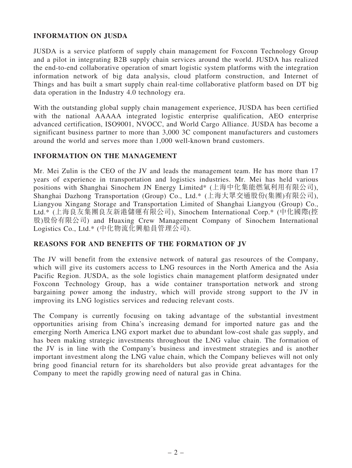## INFORMATION ON JUSDA

JUSDA is a service platform of supply chain management for Foxconn Technology Group and a pilot in integrating B2B supply chain services around the world. JUSDA has realized the end-to-end collaborative operation of smart logistic system platforms with the integration information network of big data analysis, cloud platform construction, and Internet of Things and has built a smart supply chain real-time collaborative platform based on DT big data operation in the Industry 4.0 technology era.

With the outstanding global supply chain management experience, JUSDA has been certified with the national AAAAA integrated logistic enterprise qualification, AEO enterprise advanced certification, ISO9001, NVOCC, and World Cargo Alliance. JUSDA has become a significant business partner to more than 3,000 3C component manufacturers and customers around the world and serves more than 1,000 well-known brand customers.

### INFORMATION ON THE MANAGEMENT

Mr. Mei Zulin is the CEO of the JV and leads the management team. He has more than 17 years of experience in transportation and logistics industries. Mr. Mei has held various positions with Shanghai Sinochem JN Energy Limited\* (上海中化集能燃氣利用有限公司), Shanghai Dazhong Transportation (Group) Co., Ltd.\* (上海大眾交通股份(集團)有限公司), Liangyou Xingang Storage and Transportation Limited of Shanghai Liangyou (Group) Co., Ltd.\* (上海良友集團良友新港儲運有限公司), Sinochem International Corp.\* (中化國際(控 股)股份有限公司) and Huaxing Crew Management Company of Sinochem International Logistics Co., Ltd.\* (中化物流化興船員管理公司).

### REASONS FOR AND BENEFITS OF THE FORMATION OF JV

The JV will benefit from the extensive network of natural gas resources of the Company, which will give its customers access to LNG resources in the North America and the Asia Pacific Region. JUSDA, as the sole logistics chain management platform designated under Foxconn Technology Group, has a wide container transportation network and strong bargaining power among the industry, which will provide strong support to the JV in improving its LNG logistics services and reducing relevant costs.

The Company is currently focusing on taking advantage of the substantial investment opportunities arising from China's increasing demand for imported nature gas and the emerging North America LNG export market due to abundant low-cost shale gas supply, and has been making strategic investments throughout the LNG value chain. The formation of the JV is in line with the Company's business and investment strategies and is another important investment along the LNG value chain, which the Company believes will not only bring good financial return for its shareholders but also provide great advantages for the Company to meet the rapidly growing need of natural gas in China.